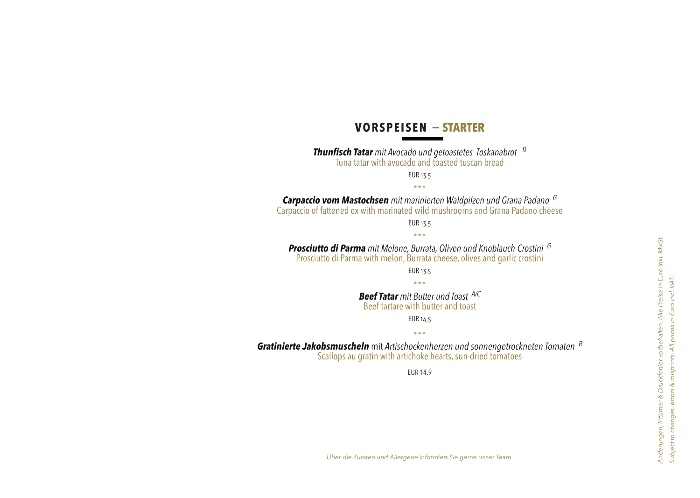# **VORSPEISEN** − **STARTER**

*Thunfisch Tatar mit Avocado und getoastetes Toskanabrot <sup>D</sup>* Tuna tatar with avocado and toasted tuscan bread EUR 13.5

٭٭٭

*Carpaccio vom Mastochsen mit marinierten Waldpilzen und Grana Padano <sup>G</sup>* Carpaccio of fattened ox with marinated wild mushrooms and Grana Padano cheese

EUR 13.5 ٭٭٭

*Prosciutto di Parma mit Melone, Burrata, Oliven und Knoblauch-Crostini <sup>G</sup>* Prosciutto di Parma with melon, Burrata cheese, olives and garlic crostini

> EUR 13.5 ٭٭٭

*Beef Tatar mit Butter und Toast A/C* Beef tartare with butter and toast EUR 14.5

٭٭٭

*Gratinierte Jakobsmuscheln* mit *Artischockenherzen und sonnengetrockneten Tomaten <sup>R</sup>* Scallops au gratin with artichoke hearts, sun-dried tomatoes

EUR 14.9

*Über die Zutaten und Allergene informiert Sie gerne unser Team.*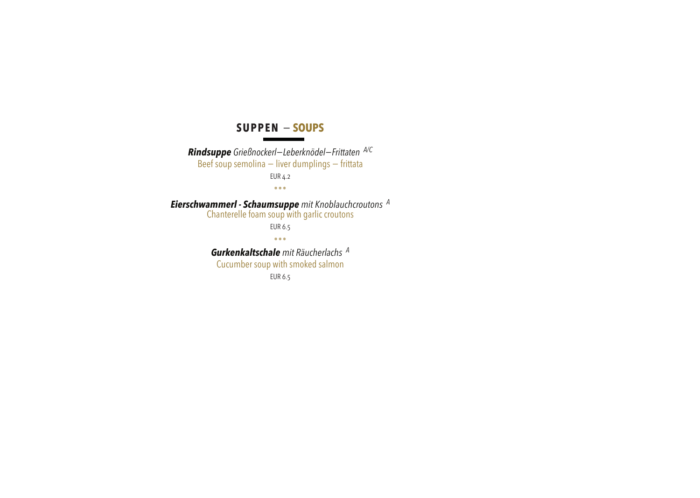#### **SUPPEN** − **SOUPS**

*Rindsuppe Grießnockerl−Leberknödel−Frittaten A/C* Beef soup semolina – liver dumplings – frittata EUR 4.2 ٭٭٭ *Eierschwammerl - Schaumsuppe mit Knoblauchcroutons <sup>A</sup>* Chanterelle foam soup with garlic croutons EUR 6.5 ٭٭٭ *Gurkenkaltschale mit Räucherlachs <sup>A</sup>* Cucumber soup with smoked salmon EUR 6.5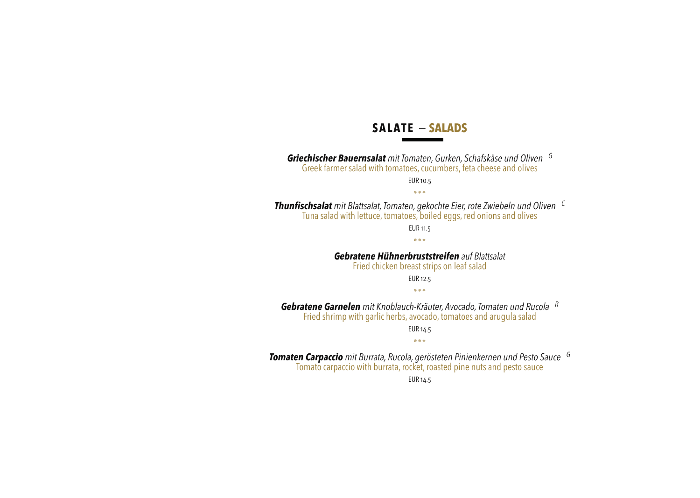## **SALATE** − **SALADS**

*Griechischer Bauernsalat mit Tomaten, Gurken, Schafskäse und Oliven <sup>G</sup>* Greek farmer salad with tomatoes, cucumbers, feta cheese and olives EUR 10.5

٭٭٭

*Thunfischsalat mit Blattsalat, Tomaten, gekochte Eier, rote Zwiebeln und Oliven <sup>C</sup>* Tuna salad with lettuce, tomatoes, boiled eggs, red onions and olives

> EUR 11.5 ٭٭٭

*Gebratene Hühnerbruststreifen auf Blattsalat* 

Fried chicken breast strips on leaf salad

EUR 12.5

٭٭٭

*Gebratene Garnelen mit Knoblauch-Kräuter, Avocado, Tomaten und Rucola <sup>R</sup>*

Fried shrimp with garlic herbs, avocado, tomatoes and arugula salad

EUR 14.5

٭٭٭

*Tomaten Carpaccio mit Burrata, Rucola, gerösteten Pinienkernen und Pesto Sauce <sup>G</sup>*

Tomato carpaccio with burrata, rocket, roasted pine nuts and pesto sauce

EUR 14.5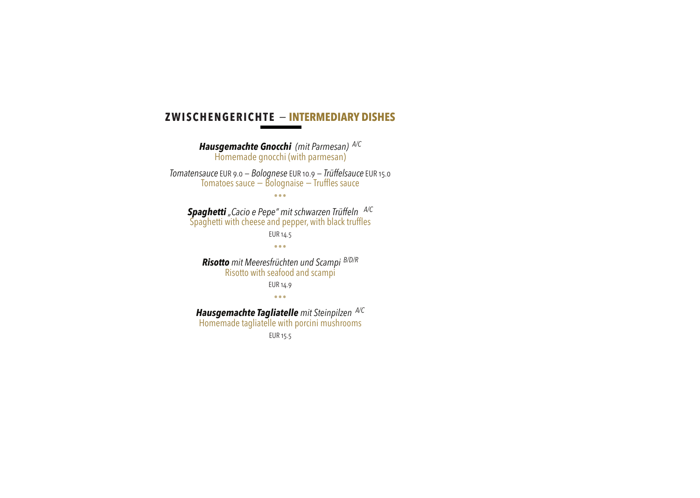### **ZWISCHENGERICHTE** − **INTERMEDIARY DISHES**

*Hausgemachte Gnocchi (mit Parmesan) A/C* Homemade gnocchi (with parmesan) *Tomatensauce* EUR 9.0 *− Bolognese* EUR 10.9 *− Trüffelsauce* EUR 15.0 Tomatoes sauce − Bolognaise − Truffles sauce ٭٭٭ *Spaghetti "Cacio e Pepe" mit schwarzen Trüffeln A/C* Spaghetti with cheese and pepper, with black truffles EUR 14.5 ٭٭٭ *Risotto mit Meeresfrüchten und Scampi B/D/R* Risotto with seafood and scampi EUR 14.9 ٭٭٭ *Hausgemachte Tagliatelle mit Steinpilzen A/C* Homemade tagliatelle with porcini mushrooms

EUR 15.5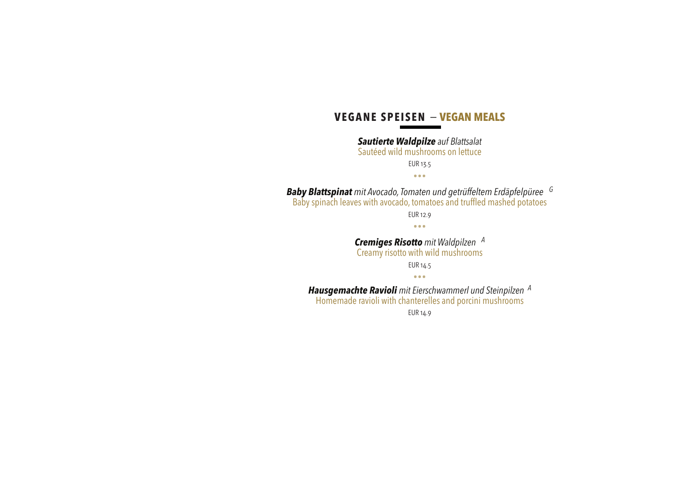## **VEGANE SPEISEN** − **VEGAN MEALS**

*Sautierte Waldpilze auf Blattsalat*

Sautéed wild mushrooms on lettuce

EUR 13.5

٭٭٭

*Baby Blattspinat mit Avocado, Tomaten und getrüffeltem Erdäpfelpüree <sup>G</sup>* Baby spinach leaves with avocado, tomatoes and truffled mashed potatoes EUR 12.9 ٭٭٭ *Cremiges Risotto mit Waldpilzen <sup>A</sup>* Creamy risotto with wild mushrooms EUR 14.5

٭٭٭

*Hausgemachte Ravioli mit Eierschwammerl und Steinpilzen <sup>A</sup>*

Homemade ravioli with chanterelles and porcini mushrooms

EUR 14.9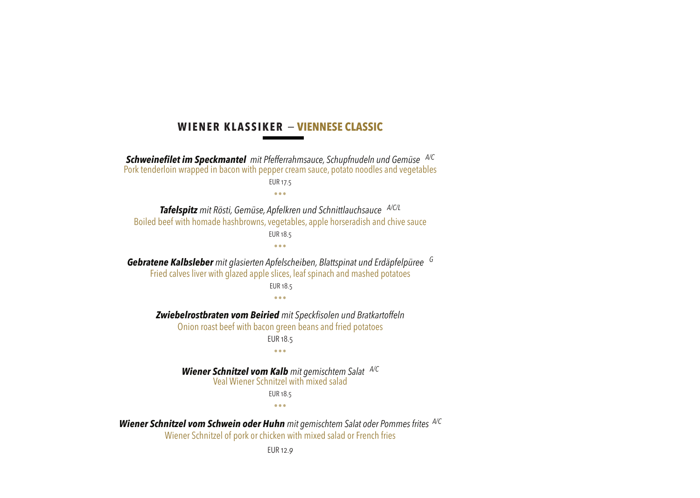### **WIENER KLASSIKER** − **VIENNESE CLASSIC**

*Schweinefilet im Speckmantel mit Pfefferrahmsauce, Schupfnudeln und Gemüse A/C* Pork tenderloin wrapped in bacon with pepper cream sauce, potato noodles and vegetables EUR 17.5 ٭٭٭ *Tafelspitz mit Rösti, Gemüse, Apfelkren und Schnittlauchsauce A/C/L* Boiled beef with homade hashbrowns, vegetables, apple horseradish and chive sauce EUR 18.5 ٭٭٭ *Gebratene Kalbsleber mit glasierten Apfelscheiben, Blattspinat und Erdäpfelpüree <sup>G</sup>* Fried calves liver with glazed apple slices, leaf spinach and mashed potatoes EUR 18.5 ٭٭٭ *Zwiebelrostbraten vom Beiried mit Speckfisolen und Bratkartoffeln* Onion roast beef with bacon green beans and fried potatoes EUR 18.5 ٭٭٭ *Wiener Schnitzel vom Kalb mit gemischtem Salat A/C* Veal Wiener Schnitzel with mixed salad EUR 18.5 ٭٭٭ *Wiener Schnitzel vom Schwein oder Huhn mit gemischtem Salat oder Pommes frites A/C*

Wiener Schnitzel of pork or chicken with mixed salad or French fries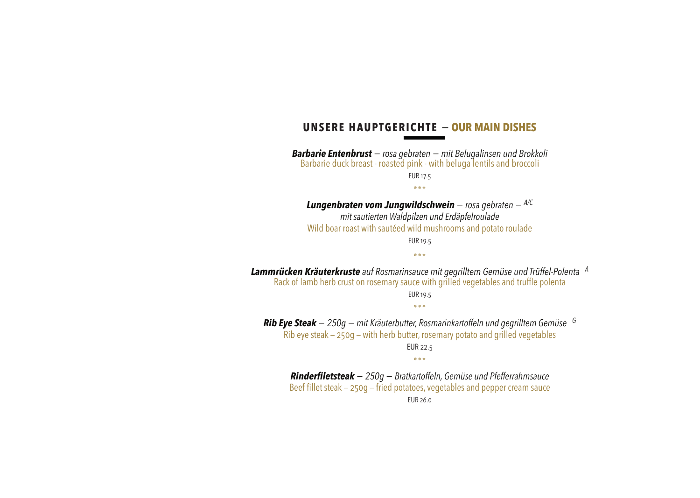#### **UNSERE HAUPTGERICHTE** − **OUR MAIN DISHES**

*Barbarie Entenbrust − rosa gebraten − mit Belugalinsen und Brokkoli* Barbarie duck breast - roasted pink - with beluga lentils and broccoli EUR 17.5 ٭٭٭

*Lungenbraten vom Jungwildschwein − rosa gebraten − A/C mit sautierten Waldpilzen und Erdäpfelroulade* Wild boar roast with sautéed wild mushrooms and potato roulade EUR 19.5

٭٭٭

*Lammrücken Kräuterkruste auf Rosmarinsauce mit gegrilltem Gemüse und Trüffel-Polenta <sup>A</sup>* Rack of lamb herb crust on rosemary sauce with grilled vegetables and truffle polenta EUR 19.5 ٭٭٭

*Rib Eye Steak − 250g − mit Kräuterbutter, Rosmarinkartoffeln und gegrilltem Gemüse <sup>G</sup>* Rib eye steak — 250g — with herb butter, rosemary potato and grilled vegetables EUR 22.5 ٭٭٭

*Rinderfiletsteak − 250g − Bratkartoffeln, Gemüse und Pfefferrahmsauce*  Beef fillet steak — 250g — fried potatoes, vegetables and pepper cream sauce EUR 26.0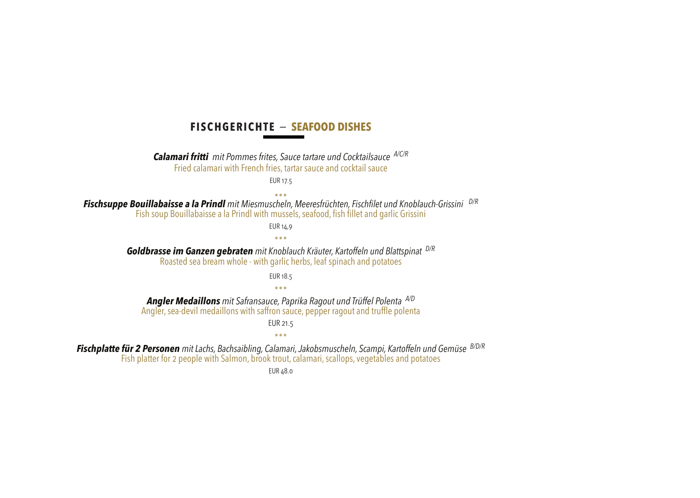### **FISCHGERICHTE** − **SEAFOOD DISHES**

*Calamari fritti mit Pommes frites, Sauce tartare und Cocktailsauce A/C/R* Fried calamari with French fries, tartar sauce and cocktail sauce

EUR 17.5

٭٭٭ *Fischsuppe Bouillabaisse a la Prindl mit Miesmuscheln, Meeresfrüchten, Fischfilet und Knoblauch-Grissini D/R* Fish soup Bouillabaisse a la Prindl with mussels, seafood, fish fillet and garlic Grissini

EUR 14,9

٭٭٭ *Goldbrasse im Ganzen gebraten mit Knoblauch Kräuter, Kartoffeln und Blattspinat D/R*

Roasted sea bream whole - with garlic herbs, leaf spinach and potatoes

EUR 18.5

٭٭٭

*Angler Medaillons mit Safransauce, Paprika Ragout und Trüffel Polenta A/D* Angler, sea-devil medaillons with saffron sauce, pepper ragout and truffle polenta

EUR 21.5

٭٭٭

*Fischplatte für 2 Personen mit Lachs, Bachsaibling, Calamari, Jakobsmuscheln, Scampi, Kartoffeln und Gemüse B/D/R* Fish platter for 2 people with Salmon, brook trout, calamari, scallops, vegetables and potatoes

EUR 48.0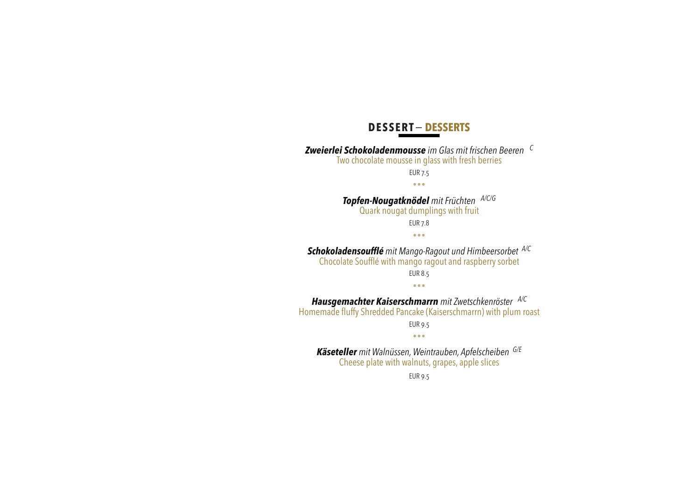## **DESSERT**− **DESSERTS**

*Zweierlei Schokoladenmousse im Glas mit frischen Beeren <sup>C</sup>* Two chocolate mousse in glass with fresh berries EUR 7.5 ٭٭٭ *Topfen-Nougatknödel mit Früchten A/C/G* Quark nougat dumplings with fruit EUR 7.8 ٭٭٭ *Schokoladensoufflé mit Mango-Ragout und Himbeersorbet A/C* Chocolate Soufflé with mango ragout and raspberry sorbet EUR 8.5 ٭٭٭ *Hausgemachter Kaiserschmarrn mit Zwetschkenröster A/C* Homemade fluffy Shredded Pancake (Kaiserschmarrn) with plum roast EUR 9.5 ٭٭٭ *Käseteller mit Walnüssen, Weintrauben, Apfelscheiben G/E* Cheese plate with walnuts, grapes, apple slices EUR 9.5